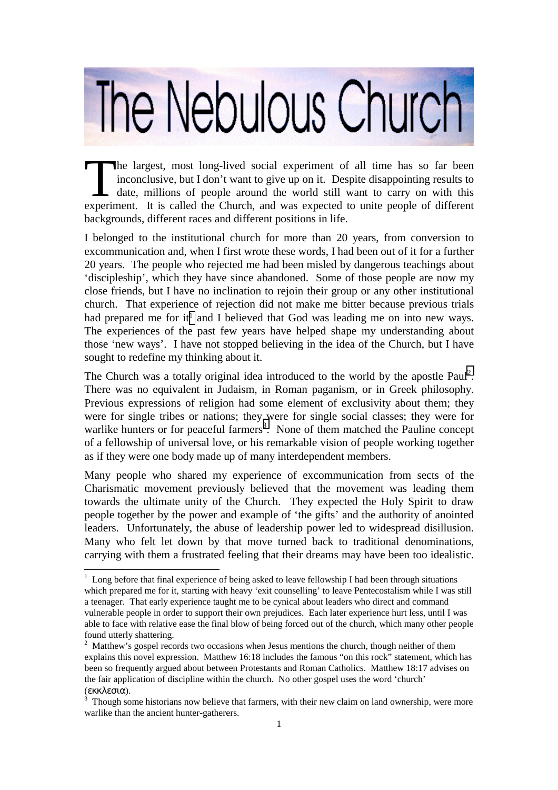## The Nebulous Church

he largest, most long-lived social experiment of all time has so far been inconclusive, but I don't want to give up on it. Despite disappointing results to date, millions of people around the world still want to carry on with this experiment. It is called the Church, and was expected to unite people of different backgrounds, different races and different positions in life.  $\prod_{\text{experin}}$ 

I belonged to the institutional church for more than 20 years, from conversion to excommunication and, when I first wrote these words, I had been out of it for a further 20 years. The people who rejected me had been misled by dangerous teachings about 'discipleship', which they have since abandoned. Some of those people are now my close friends, but I have no inclination to rejoin their group or any other institutional church. That experience of rejection did not make me bitter because previous trials had prepared me for it<sup>1</sup> and I believed that God was leading me on into new ways. The experiences of the past few years have helped shape my understanding about those 'new ways'. I have not stopped believing in the idea of the Church, but I have sought to redefine my thinking about it.

The Church was a totally original idea introduced to the world by the apostle Paul<sup>2</sup>. There was no equivalent in Judaism, in Roman paganism, or in Greek philosophy. Previous expressions of religion had some element of exclusivity about them; they were for single tribes or nations; they were for single social classes; they were for warlike hunters or for peaceful farmers<sup>3</sup>. None of them matched the Pauline concept of a fellowship of universal love, or his remarkable vision of people working together as if they were one body made up of many interdependent members.

Many people who shared my experience of excommunication from sects of the Charismatic movement previously believed that the movement was leading them towards the ultimate unity of the Church. They expected the Holy Spirit to draw people together by the power and example of 'the gifts' and the authority of anointed leaders. Unfortunately, the abuse of leadership power led to widespread disillusion. Many who felt let down by that move turned back to traditional denominations, carrying with them a frustrated feeling that their dreams may have been too idealistic.

l

 $1$  Long before that final experience of being asked to leave fellowship I had been through situations which prepared me for it, starting with heavy 'exit counselling' to leave Pentecostalism while I was still a teenager. That early experience taught me to be cynical about leaders who direct and command vulnerable people in order to support their own prejudices. Each later experience hurt less, until I was able to face with relative ease the final blow of being forced out of the church, which many other people found utterly shattering.

 $2$  Matthew's gospel records two occasions when Jesus mentions the church, though neither of them explains this novel expression. Matthew 16:18 includes the famous "on this rock" statement, which has been so frequently argued about between Protestants and Roman Catholics. Matthew 18:17 advises on the fair application of discipline within the church. No other gospel uses the word 'church' (εκκλεσια).

<sup>&</sup>lt;sup>3</sup> Though some historians now believe that farmers, with their new claim on land ownership, were more warlike than the ancient hunter-gatherers.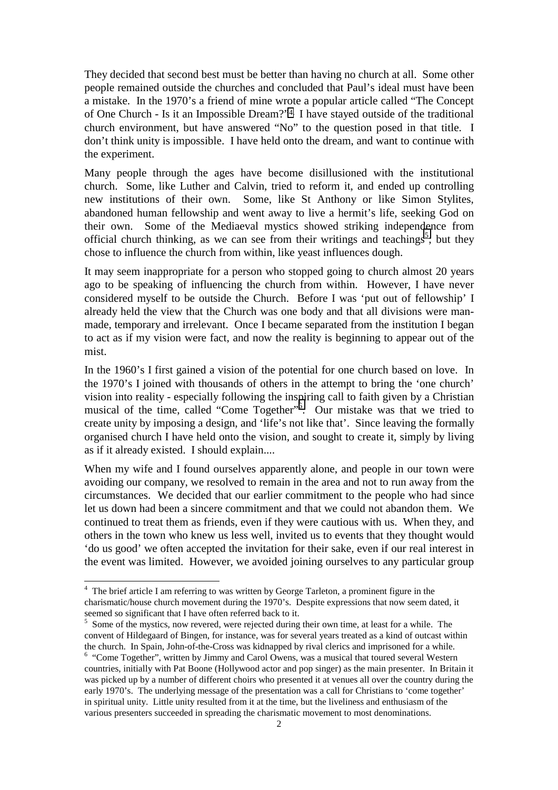They decided that second best must be better than having no church at all. Some other people remained outside the churches and concluded that Paul's ideal must have been a mistake. In the 1970's a friend of mine wrote a popular article called "The Concept of One Church - Is it an Impossible Dream?"4. I have stayed outside of the traditional church environment, but have answered "No" to the question posed in that title. I don't think unity is impossible. I have held onto the dream, and want to continue with the experiment.

Many people through the ages have become disillusioned with the institutional church. Some, like Luther and Calvin, tried to reform it, and ended up controlling new institutions of their own. Some, like St Anthony or like Simon Stylites, abandoned human fellowship and went away to live a hermit's life, seeking God on their own. Some of the Mediaeval mystics showed striking independence from official church thinking, as we can see from their writings and teachings<sup>5</sup>; but they chose to influence the church from within, like yeast influences dough.

It may seem inappropriate for a person who stopped going to church almost 20 years ago to be speaking of influencing the church from within. However, I have never considered myself to be outside the Church. Before I was 'put out of fellowship' I already held the view that the Church was one body and that all divisions were manmade, temporary and irrelevant. Once I became separated from the institution I began to act as if my vision were fact, and now the reality is beginning to appear out of the mist.

In the 1960's I first gained a vision of the potential for one church based on love. In the 1970's I joined with thousands of others in the attempt to bring the 'one church' vision into reality - especially following the inspiring call to faith given by a Christian musical of the time, called "Come Together"<sup>5</sup>. Our mistake was that we tried to create unity by imposing a design, and 'life's not like that'. Since leaving the formally organised church I have held onto the vision, and sought to create it, simply by living as if it already existed. I should explain....

When my wife and I found ourselves apparently alone, and people in our town were avoiding our company, we resolved to remain in the area and not to run away from the circumstances. We decided that our earlier commitment to the people who had since let us down had been a sincere commitment and that we could not abandon them. We continued to treat them as friends, even if they were cautious with us. When they, and others in the town who knew us less well, invited us to events that they thought would 'do us good' we often accepted the invitation for their sake, even if our real interest in the event was limited. However, we avoided joining ourselves to any particular group

l

<sup>&</sup>lt;sup>4</sup> The brief article I am referring to was written by George Tarleton, a prominent figure in the charismatic/house church movement during the 1970's. Despite expressions that now seem dated, it seemed so significant that I have often referred back to it.

<sup>&</sup>lt;sup>5</sup> Some of the mystics, now revered, were rejected during their own time, at least for a while. The convent of Hildegaard of Bingen, for instance, was for several years treated as a kind of outcast within the church. In Spain, John-of-the-Cross was kidnapped by rival clerics and imprisoned for a while. <sup>6</sup> "Come Together", written by Jimmy and Carol Owens, was a musical that toured several Western

countries, initially with Pat Boone (Hollywood actor and pop singer) as the main presenter. In Britain it was picked up by a number of different choirs who presented it at venues all over the country during the early 1970's. The underlying message of the presentation was a call for Christians to 'come together' in spiritual unity. Little unity resulted from it at the time, but the liveliness and enthusiasm of the various presenters succeeded in spreading the charismatic movement to most denominations.